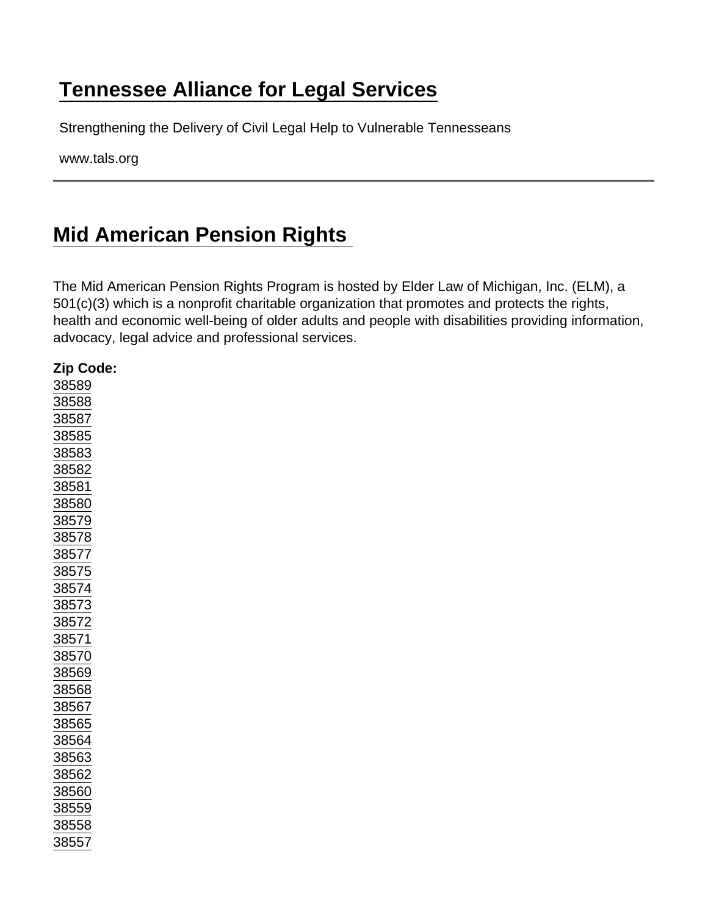## [Tennessee Alliance for Legal Services](https://www.tals.org/)

Strengthening the Delivery of Civil Legal Help to Vulnerable Tennesseans

www.tals.org

## [Mid American Pension Rights](https://www.tals.org/node/372/mid-american-pension-rights)

The Mid American Pension Rights Program is hosted by Elder Law of Michigan, Inc. (ELM), a 501(c)(3) which is a nonprofit charitable organization that promotes and protects the rights, health and economic well-being of older adults and people with disabilities providing information, advocacy, legal advice and professional services.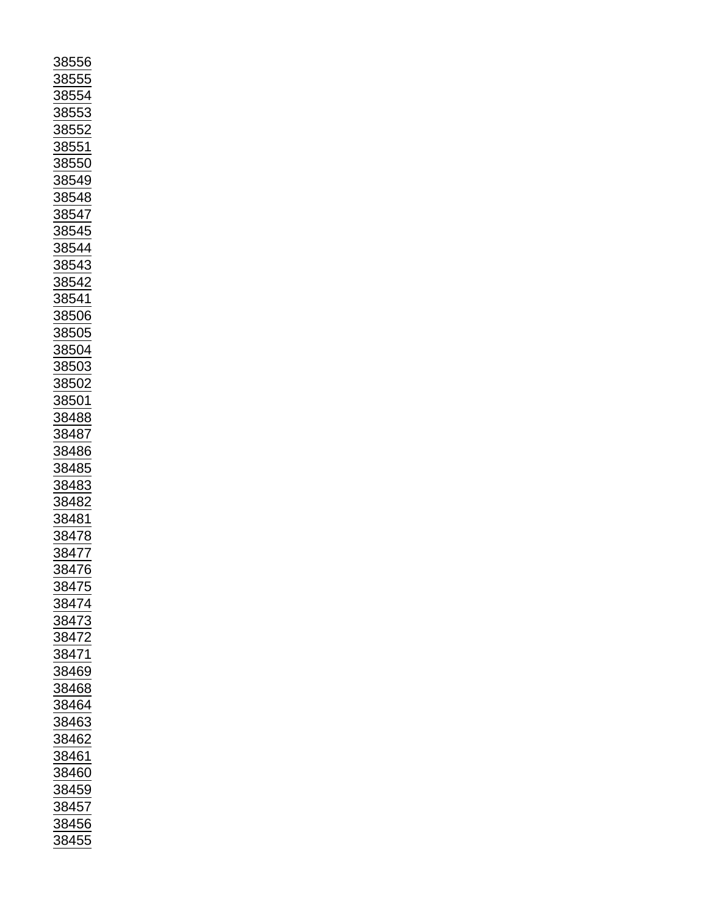| <u>38556</u>                                                                                                                                        |
|-----------------------------------------------------------------------------------------------------------------------------------------------------|
|                                                                                                                                                     |
|                                                                                                                                                     |
|                                                                                                                                                     |
| 88555                                                                                                                                               |
|                                                                                                                                                     |
| <u>8855</u>                                                                                                                                         |
|                                                                                                                                                     |
|                                                                                                                                                     |
| <u>88553</u>                                                                                                                                        |
| $\frac{1}{88552}$                                                                                                                                   |
|                                                                                                                                                     |
|                                                                                                                                                     |
| 88551                                                                                                                                               |
|                                                                                                                                                     |
|                                                                                                                                                     |
| 855                                                                                                                                                 |
|                                                                                                                                                     |
|                                                                                                                                                     |
|                                                                                                                                                     |
|                                                                                                                                                     |
|                                                                                                                                                     |
|                                                                                                                                                     |
|                                                                                                                                                     |
|                                                                                                                                                     |
|                                                                                                                                                     |
|                                                                                                                                                     |
|                                                                                                                                                     |
|                                                                                                                                                     |
|                                                                                                                                                     |
|                                                                                                                                                     |
|                                                                                                                                                     |
| 38549<br>38548<br>38547<br>38545<br>38543<br>38543<br>38542                                                                                         |
|                                                                                                                                                     |
|                                                                                                                                                     |
|                                                                                                                                                     |
|                                                                                                                                                     |
|                                                                                                                                                     |
| $\frac{38541}{38506} \n \underline{38506} \n \underline{38504} \n \underline{38503} \n \underline{38502} \n \underline{38502} \n \underline{38502}$ |
|                                                                                                                                                     |
|                                                                                                                                                     |
|                                                                                                                                                     |
|                                                                                                                                                     |
|                                                                                                                                                     |
|                                                                                                                                                     |
|                                                                                                                                                     |
|                                                                                                                                                     |
| <u>38501</u>                                                                                                                                        |
|                                                                                                                                                     |
| <u>38488</u>                                                                                                                                        |
|                                                                                                                                                     |
|                                                                                                                                                     |
| 38487                                                                                                                                               |
|                                                                                                                                                     |
| $\frac{486}{1}$<br><u>384</u>                                                                                                                       |
|                                                                                                                                                     |
| <u>384</u><br>$\frac{185}{1}$                                                                                                                       |
|                                                                                                                                                     |
|                                                                                                                                                     |
|                                                                                                                                                     |
|                                                                                                                                                     |
|                                                                                                                                                     |
|                                                                                                                                                     |
| 38483<br>38482                                                                                                                                      |
|                                                                                                                                                     |
|                                                                                                                                                     |
|                                                                                                                                                     |
| 38481<br>38478                                                                                                                                      |
|                                                                                                                                                     |
| 3847                                                                                                                                                |
|                                                                                                                                                     |
| 6                                                                                                                                                   |
|                                                                                                                                                     |
|                                                                                                                                                     |
| $\frac{1}{1}$<br>$\frac{1}{1}$<br>$\frac{1}{1}$<br>$\frac{1}{1}$<br>$\frac{1}{1}$                                                                   |
|                                                                                                                                                     |
|                                                                                                                                                     |
|                                                                                                                                                     |
| 38474<br>38473                                                                                                                                      |
|                                                                                                                                                     |
| <u>8847</u>                                                                                                                                         |
|                                                                                                                                                     |
| $\frac{1}{3847}$                                                                                                                                    |
|                                                                                                                                                     |
|                                                                                                                                                     |
|                                                                                                                                                     |
|                                                                                                                                                     |
|                                                                                                                                                     |
|                                                                                                                                                     |
| $\frac{38469}{38468}$<br>$\frac{38468}{38464}$                                                                                                      |
|                                                                                                                                                     |
| 38463                                                                                                                                               |
|                                                                                                                                                     |
|                                                                                                                                                     |
|                                                                                                                                                     |
|                                                                                                                                                     |
| 38462<br>38461<br>36                                                                                                                                |
| 88460                                                                                                                                               |
|                                                                                                                                                     |
|                                                                                                                                                     |
| 38459                                                                                                                                               |
|                                                                                                                                                     |
|                                                                                                                                                     |
|                                                                                                                                                     |
| $\frac{24}{38457}$<br>38456                                                                                                                         |
| 38455                                                                                                                                               |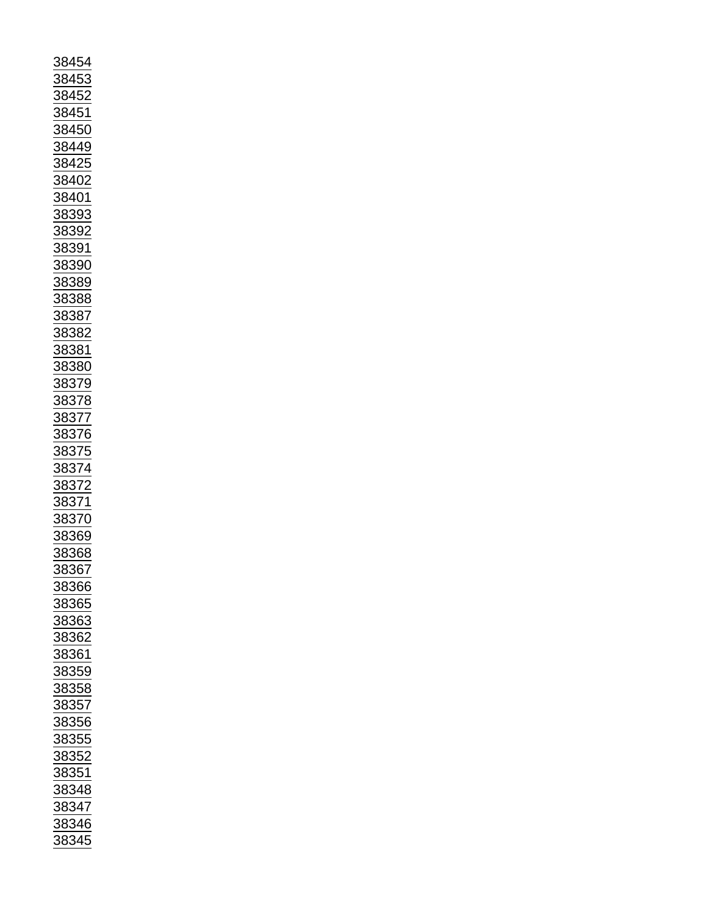| 38454                                                                                            |
|--------------------------------------------------------------------------------------------------|
|                                                                                                  |
| <u>88453</u>                                                                                     |
|                                                                                                  |
| 38452<br>38451<br>38450<br>38449                                                                 |
|                                                                                                  |
|                                                                                                  |
|                                                                                                  |
|                                                                                                  |
|                                                                                                  |
|                                                                                                  |
| 38425                                                                                            |
|                                                                                                  |
|                                                                                                  |
| $\frac{1}{38402}$ $\frac{38401}{102}$                                                            |
|                                                                                                  |
| 38393                                                                                            |
|                                                                                                  |
| 38392                                                                                            |
|                                                                                                  |
|                                                                                                  |
|                                                                                                  |
| 38391<br>38390<br>38389                                                                          |
|                                                                                                  |
|                                                                                                  |
| 38388                                                                                            |
|                                                                                                  |
| <u>38387</u>                                                                                     |
|                                                                                                  |
| $\frac{22}{38382}$                                                                               |
|                                                                                                  |
| $\frac{1}{38381}$                                                                                |
| 38380                                                                                            |
|                                                                                                  |
|                                                                                                  |
|                                                                                                  |
|                                                                                                  |
|                                                                                                  |
|                                                                                                  |
|                                                                                                  |
|                                                                                                  |
|                                                                                                  |
|                                                                                                  |
|                                                                                                  |
|                                                                                                  |
|                                                                                                  |
| $\frac{58888}{38379}$<br>$\frac{38378}{38377}$<br>$\frac{38376}{38375}$<br>$\frac{38375}{38374}$ |
|                                                                                                  |
|                                                                                                  |
|                                                                                                  |
|                                                                                                  |
| $\frac{36372}{38372}$ $\frac{38371}{38370}$                                                      |
| 38369                                                                                            |
|                                                                                                  |
| 38368                                                                                            |
| 38367                                                                                            |
|                                                                                                  |
| 88366                                                                                            |
|                                                                                                  |
| 38365                                                                                            |
|                                                                                                  |
| <u>38363</u>                                                                                     |
|                                                                                                  |
| <u>38362</u>                                                                                     |
|                                                                                                  |
| 38361                                                                                            |
| <u>38359</u>                                                                                     |
|                                                                                                  |
| 38358                                                                                            |
|                                                                                                  |
| $\frac{1}{38357}$                                                                                |
|                                                                                                  |
| 38356                                                                                            |
| 38355                                                                                            |
|                                                                                                  |
|                                                                                                  |
|                                                                                                  |
| 38352<br>38351                                                                                   |
| <u>38348</u>                                                                                     |
|                                                                                                  |
|                                                                                                  |
|                                                                                                  |
| 38347<br>38346<br>$\frac{12}{38345}$                                                             |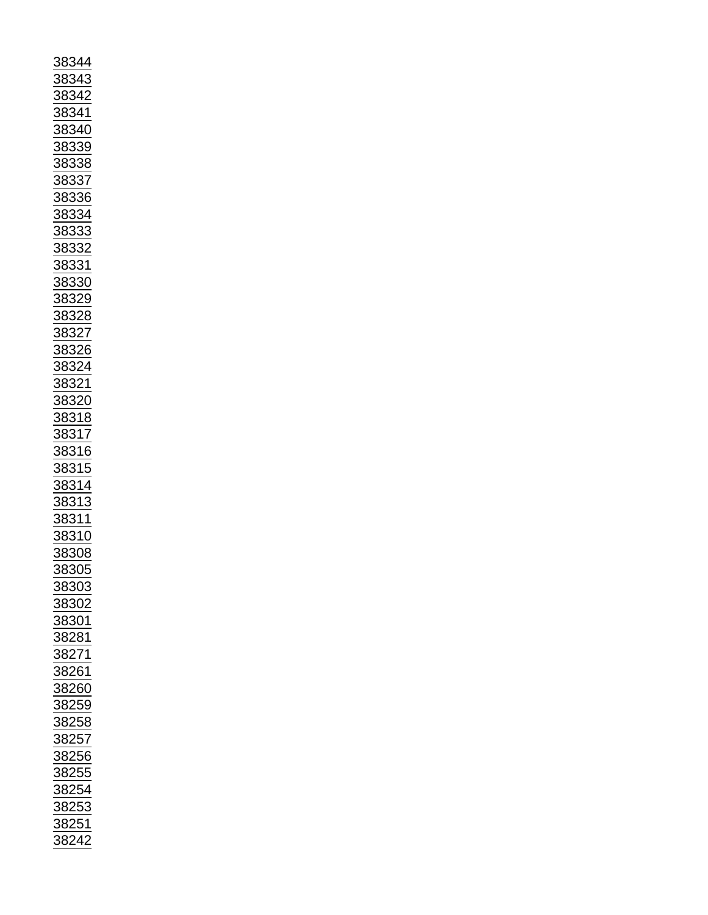| 38344                                                       |
|-------------------------------------------------------------|
|                                                             |
| <u>38343</u>                                                |
|                                                             |
|                                                             |
|                                                             |
|                                                             |
|                                                             |
|                                                             |
|                                                             |
|                                                             |
|                                                             |
|                                                             |
|                                                             |
|                                                             |
|                                                             |
|                                                             |
|                                                             |
|                                                             |
|                                                             |
|                                                             |
|                                                             |
|                                                             |
|                                                             |
|                                                             |
|                                                             |
|                                                             |
|                                                             |
|                                                             |
|                                                             |
|                                                             |
|                                                             |
|                                                             |
|                                                             |
|                                                             |
|                                                             |
|                                                             |
|                                                             |
|                                                             |
|                                                             |
|                                                             |
|                                                             |
|                                                             |
|                                                             |
|                                                             |
|                                                             |
|                                                             |
|                                                             |
|                                                             |
|                                                             |
|                                                             |
|                                                             |
|                                                             |
|                                                             |
|                                                             |
|                                                             |
|                                                             |
|                                                             |
| 38305                                                       |
|                                                             |
| <u>38303</u>                                                |
|                                                             |
|                                                             |
|                                                             |
| 38302<br>38301                                              |
|                                                             |
|                                                             |
| $\frac{2}{38281}$                                           |
|                                                             |
|                                                             |
|                                                             |
|                                                             |
| $\frac{1}{38271}$<br>$\frac{38261}{38260}$                  |
| 38259                                                       |
|                                                             |
|                                                             |
|                                                             |
|                                                             |
|                                                             |
|                                                             |
|                                                             |
|                                                             |
|                                                             |
|                                                             |
|                                                             |
|                                                             |
| 38258<br>38257<br>38256<br>38255<br>38254<br>38253<br>38253 |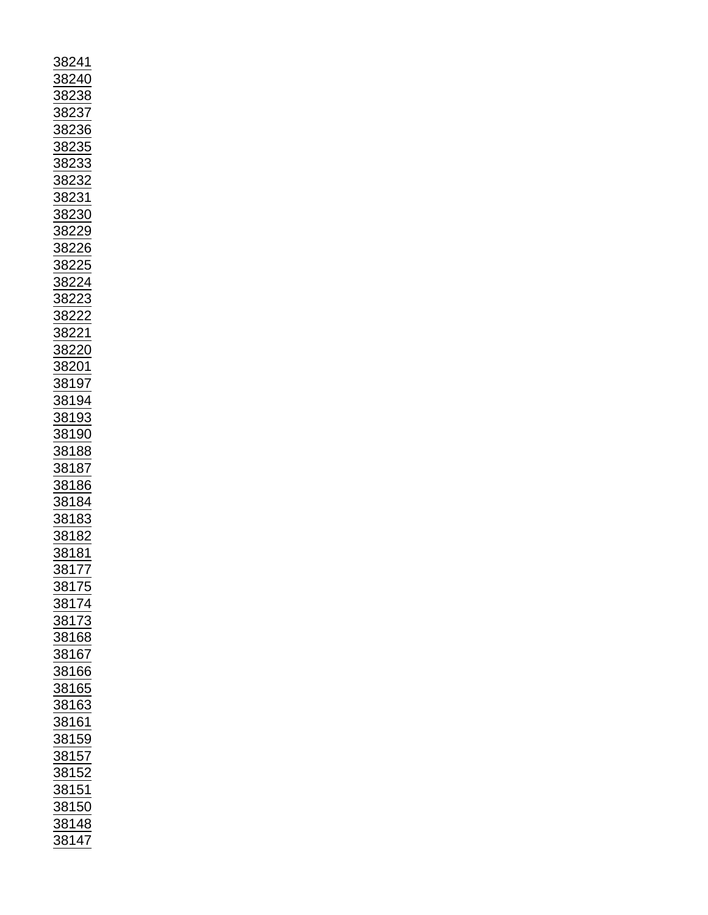| <u>38241</u>                                                                                                                                                                                                                                                                                                                                                                                                                                                                                                       |
|--------------------------------------------------------------------------------------------------------------------------------------------------------------------------------------------------------------------------------------------------------------------------------------------------------------------------------------------------------------------------------------------------------------------------------------------------------------------------------------------------------------------|
| $\frac{40}{1}$<br>$\frac{382}{ }$                                                                                                                                                                                                                                                                                                                                                                                                                                                                                  |
|                                                                                                                                                                                                                                                                                                                                                                                                                                                                                                                    |
|                                                                                                                                                                                                                                                                                                                                                                                                                                                                                                                    |
|                                                                                                                                                                                                                                                                                                                                                                                                                                                                                                                    |
|                                                                                                                                                                                                                                                                                                                                                                                                                                                                                                                    |
|                                                                                                                                                                                                                                                                                                                                                                                                                                                                                                                    |
|                                                                                                                                                                                                                                                                                                                                                                                                                                                                                                                    |
|                                                                                                                                                                                                                                                                                                                                                                                                                                                                                                                    |
|                                                                                                                                                                                                                                                                                                                                                                                                                                                                                                                    |
|                                                                                                                                                                                                                                                                                                                                                                                                                                                                                                                    |
|                                                                                                                                                                                                                                                                                                                                                                                                                                                                                                                    |
|                                                                                                                                                                                                                                                                                                                                                                                                                                                                                                                    |
|                                                                                                                                                                                                                                                                                                                                                                                                                                                                                                                    |
|                                                                                                                                                                                                                                                                                                                                                                                                                                                                                                                    |
|                                                                                                                                                                                                                                                                                                                                                                                                                                                                                                                    |
|                                                                                                                                                                                                                                                                                                                                                                                                                                                                                                                    |
|                                                                                                                                                                                                                                                                                                                                                                                                                                                                                                                    |
|                                                                                                                                                                                                                                                                                                                                                                                                                                                                                                                    |
|                                                                                                                                                                                                                                                                                                                                                                                                                                                                                                                    |
|                                                                                                                                                                                                                                                                                                                                                                                                                                                                                                                    |
|                                                                                                                                                                                                                                                                                                                                                                                                                                                                                                                    |
|                                                                                                                                                                                                                                                                                                                                                                                                                                                                                                                    |
|                                                                                                                                                                                                                                                                                                                                                                                                                                                                                                                    |
|                                                                                                                                                                                                                                                                                                                                                                                                                                                                                                                    |
|                                                                                                                                                                                                                                                                                                                                                                                                                                                                                                                    |
|                                                                                                                                                                                                                                                                                                                                                                                                                                                                                                                    |
| $\begin{array}{r} \begin{array}{r} \underline{562.18} \end{array} \ \hline \begin{array}{r} \underline{38238} \end{array} \ \hline \begin{array}{r} \underline{38238} \end{array} \ \hline \begin{array}{r} \underline{38233} \end{array} \ \hline \begin{array}{r} \underline{38233} \end{array} \ \hline \begin{array}{r} \underline{38230} \end{array} \ \hline \begin{array}{r} \underline{38229} \end{array} \ \hline \begin{array}{r} \underline{38222} \end{array} \ \hline \begin{array}{r} \underline{38$ |
|                                                                                                                                                                                                                                                                                                                                                                                                                                                                                                                    |
|                                                                                                                                                                                                                                                                                                                                                                                                                                                                                                                    |
| 38221<br>38220<br>38201<br>38197<br>38194<br>38193<br>38193                                                                                                                                                                                                                                                                                                                                                                                                                                                        |
|                                                                                                                                                                                                                                                                                                                                                                                                                                                                                                                    |
|                                                                                                                                                                                                                                                                                                                                                                                                                                                                                                                    |
|                                                                                                                                                                                                                                                                                                                                                                                                                                                                                                                    |
|                                                                                                                                                                                                                                                                                                                                                                                                                                                                                                                    |
|                                                                                                                                                                                                                                                                                                                                                                                                                                                                                                                    |
|                                                                                                                                                                                                                                                                                                                                                                                                                                                                                                                    |
|                                                                                                                                                                                                                                                                                                                                                                                                                                                                                                                    |
|                                                                                                                                                                                                                                                                                                                                                                                                                                                                                                                    |
|                                                                                                                                                                                                                                                                                                                                                                                                                                                                                                                    |
|                                                                                                                                                                                                                                                                                                                                                                                                                                                                                                                    |
|                                                                                                                                                                                                                                                                                                                                                                                                                                                                                                                    |
|                                                                                                                                                                                                                                                                                                                                                                                                                                                                                                                    |
|                                                                                                                                                                                                                                                                                                                                                                                                                                                                                                                    |
|                                                                                                                                                                                                                                                                                                                                                                                                                                                                                                                    |
|                                                                                                                                                                                                                                                                                                                                                                                                                                                                                                                    |
|                                                                                                                                                                                                                                                                                                                                                                                                                                                                                                                    |
|                                                                                                                                                                                                                                                                                                                                                                                                                                                                                                                    |
|                                                                                                                                                                                                                                                                                                                                                                                                                                                                                                                    |
| $\frac{38188}{38187}$ $\frac{38187}{38186}$ $\frac{38184}{33184}$                                                                                                                                                                                                                                                                                                                                                                                                                                                  |
|                                                                                                                                                                                                                                                                                                                                                                                                                                                                                                                    |
|                                                                                                                                                                                                                                                                                                                                                                                                                                                                                                                    |
| <u>38183</u><br>38182                                                                                                                                                                                                                                                                                                                                                                                                                                                                                              |
|                                                                                                                                                                                                                                                                                                                                                                                                                                                                                                                    |
| $\frac{1}{38181}$                                                                                                                                                                                                                                                                                                                                                                                                                                                                                                  |
|                                                                                                                                                                                                                                                                                                                                                                                                                                                                                                                    |
|                                                                                                                                                                                                                                                                                                                                                                                                                                                                                                                    |
|                                                                                                                                                                                                                                                                                                                                                                                                                                                                                                                    |
|                                                                                                                                                                                                                                                                                                                                                                                                                                                                                                                    |
|                                                                                                                                                                                                                                                                                                                                                                                                                                                                                                                    |
|                                                                                                                                                                                                                                                                                                                                                                                                                                                                                                                    |
|                                                                                                                                                                                                                                                                                                                                                                                                                                                                                                                    |
|                                                                                                                                                                                                                                                                                                                                                                                                                                                                                                                    |
| $\frac{23131}{38177}$ $\frac{38175}{38173}$ $\frac{38173}{38168}$                                                                                                                                                                                                                                                                                                                                                                                                                                                  |
|                                                                                                                                                                                                                                                                                                                                                                                                                                                                                                                    |
|                                                                                                                                                                                                                                                                                                                                                                                                                                                                                                                    |
|                                                                                                                                                                                                                                                                                                                                                                                                                                                                                                                    |
|                                                                                                                                                                                                                                                                                                                                                                                                                                                                                                                    |
|                                                                                                                                                                                                                                                                                                                                                                                                                                                                                                                    |
|                                                                                                                                                                                                                                                                                                                                                                                                                                                                                                                    |
|                                                                                                                                                                                                                                                                                                                                                                                                                                                                                                                    |
|                                                                                                                                                                                                                                                                                                                                                                                                                                                                                                                    |
|                                                                                                                                                                                                                                                                                                                                                                                                                                                                                                                    |
|                                                                                                                                                                                                                                                                                                                                                                                                                                                                                                                    |
|                                                                                                                                                                                                                                                                                                                                                                                                                                                                                                                    |
|                                                                                                                                                                                                                                                                                                                                                                                                                                                                                                                    |
|                                                                                                                                                                                                                                                                                                                                                                                                                                                                                                                    |
|                                                                                                                                                                                                                                                                                                                                                                                                                                                                                                                    |
|                                                                                                                                                                                                                                                                                                                                                                                                                                                                                                                    |
|                                                                                                                                                                                                                                                                                                                                                                                                                                                                                                                    |
|                                                                                                                                                                                                                                                                                                                                                                                                                                                                                                                    |
|                                                                                                                                                                                                                                                                                                                                                                                                                                                                                                                    |
| 38167<br>38166<br>38165<br>38163<br>38161<br>38152<br>38152<br>38152<br>38152<br>38150<br>38148                                                                                                                                                                                                                                                                                                                                                                                                                    |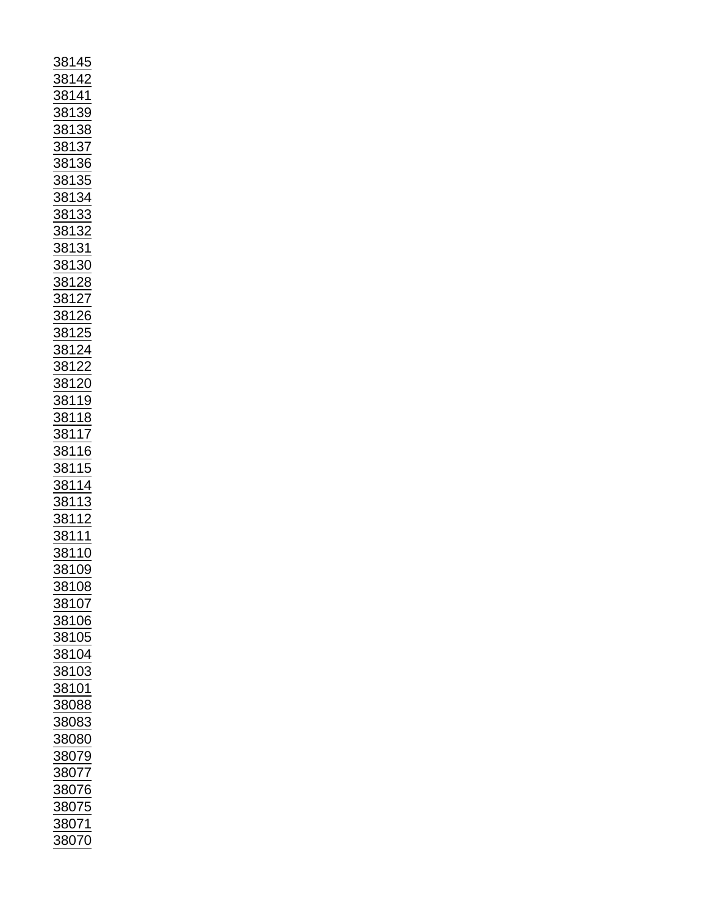| <u>38145</u>                                                                                                                                                                                                                                                                                                                                                                                                                                      |
|---------------------------------------------------------------------------------------------------------------------------------------------------------------------------------------------------------------------------------------------------------------------------------------------------------------------------------------------------------------------------------------------------------------------------------------------------|
|                                                                                                                                                                                                                                                                                                                                                                                                                                                   |
|                                                                                                                                                                                                                                                                                                                                                                                                                                                   |
|                                                                                                                                                                                                                                                                                                                                                                                                                                                   |
|                                                                                                                                                                                                                                                                                                                                                                                                                                                   |
|                                                                                                                                                                                                                                                                                                                                                                                                                                                   |
|                                                                                                                                                                                                                                                                                                                                                                                                                                                   |
|                                                                                                                                                                                                                                                                                                                                                                                                                                                   |
|                                                                                                                                                                                                                                                                                                                                                                                                                                                   |
|                                                                                                                                                                                                                                                                                                                                                                                                                                                   |
|                                                                                                                                                                                                                                                                                                                                                                                                                                                   |
|                                                                                                                                                                                                                                                                                                                                                                                                                                                   |
|                                                                                                                                                                                                                                                                                                                                                                                                                                                   |
|                                                                                                                                                                                                                                                                                                                                                                                                                                                   |
|                                                                                                                                                                                                                                                                                                                                                                                                                                                   |
|                                                                                                                                                                                                                                                                                                                                                                                                                                                   |
|                                                                                                                                                                                                                                                                                                                                                                                                                                                   |
|                                                                                                                                                                                                                                                                                                                                                                                                                                                   |
|                                                                                                                                                                                                                                                                                                                                                                                                                                                   |
|                                                                                                                                                                                                                                                                                                                                                                                                                                                   |
|                                                                                                                                                                                                                                                                                                                                                                                                                                                   |
|                                                                                                                                                                                                                                                                                                                                                                                                                                                   |
|                                                                                                                                                                                                                                                                                                                                                                                                                                                   |
|                                                                                                                                                                                                                                                                                                                                                                                                                                                   |
|                                                                                                                                                                                                                                                                                                                                                                                                                                                   |
|                                                                                                                                                                                                                                                                                                                                                                                                                                                   |
|                                                                                                                                                                                                                                                                                                                                                                                                                                                   |
|                                                                                                                                                                                                                                                                                                                                                                                                                                                   |
|                                                                                                                                                                                                                                                                                                                                                                                                                                                   |
|                                                                                                                                                                                                                                                                                                                                                                                                                                                   |
|                                                                                                                                                                                                                                                                                                                                                                                                                                                   |
|                                                                                                                                                                                                                                                                                                                                                                                                                                                   |
|                                                                                                                                                                                                                                                                                                                                                                                                                                                   |
|                                                                                                                                                                                                                                                                                                                                                                                                                                                   |
|                                                                                                                                                                                                                                                                                                                                                                                                                                                   |
|                                                                                                                                                                                                                                                                                                                                                                                                                                                   |
|                                                                                                                                                                                                                                                                                                                                                                                                                                                   |
|                                                                                                                                                                                                                                                                                                                                                                                                                                                   |
|                                                                                                                                                                                                                                                                                                                                                                                                                                                   |
|                                                                                                                                                                                                                                                                                                                                                                                                                                                   |
|                                                                                                                                                                                                                                                                                                                                                                                                                                                   |
|                                                                                                                                                                                                                                                                                                                                                                                                                                                   |
|                                                                                                                                                                                                                                                                                                                                                                                                                                                   |
|                                                                                                                                                                                                                                                                                                                                                                                                                                                   |
|                                                                                                                                                                                                                                                                                                                                                                                                                                                   |
|                                                                                                                                                                                                                                                                                                                                                                                                                                                   |
|                                                                                                                                                                                                                                                                                                                                                                                                                                                   |
|                                                                                                                                                                                                                                                                                                                                                                                                                                                   |
|                                                                                                                                                                                                                                                                                                                                                                                                                                                   |
|                                                                                                                                                                                                                                                                                                                                                                                                                                                   |
|                                                                                                                                                                                                                                                                                                                                                                                                                                                   |
|                                                                                                                                                                                                                                                                                                                                                                                                                                                   |
|                                                                                                                                                                                                                                                                                                                                                                                                                                                   |
|                                                                                                                                                                                                                                                                                                                                                                                                                                                   |
|                                                                                                                                                                                                                                                                                                                                                                                                                                                   |
|                                                                                                                                                                                                                                                                                                                                                                                                                                                   |
|                                                                                                                                                                                                                                                                                                                                                                                                                                                   |
|                                                                                                                                                                                                                                                                                                                                                                                                                                                   |
|                                                                                                                                                                                                                                                                                                                                                                                                                                                   |
|                                                                                                                                                                                                                                                                                                                                                                                                                                                   |
|                                                                                                                                                                                                                                                                                                                                                                                                                                                   |
|                                                                                                                                                                                                                                                                                                                                                                                                                                                   |
|                                                                                                                                                                                                                                                                                                                                                                                                                                                   |
|                                                                                                                                                                                                                                                                                                                                                                                                                                                   |
|                                                                                                                                                                                                                                                                                                                                                                                                                                                   |
|                                                                                                                                                                                                                                                                                                                                                                                                                                                   |
|                                                                                                                                                                                                                                                                                                                                                                                                                                                   |
|                                                                                                                                                                                                                                                                                                                                                                                                                                                   |
|                                                                                                                                                                                                                                                                                                                                                                                                                                                   |
|                                                                                                                                                                                                                                                                                                                                                                                                                                                   |
|                                                                                                                                                                                                                                                                                                                                                                                                                                                   |
| $\frac{12}{38142} \underline{38138} \underline{38138} \underline{38138} \underline{38138} \underline{38138} \underline{38134} \underline{38138} \underline{38134} \underline{38134} \underline{38132} \underline{38132} \underline{38128} \underline{38128} \underline{38122} \underline{38122} \underline{38122} \underline{38122} \underline{38122} \underline{38122} \underline{38122} \underline{38122} \underline{38114} \underline{381116}$ |
| $\frac{1}{88108}$                                                                                                                                                                                                                                                                                                                                                                                                                                 |
|                                                                                                                                                                                                                                                                                                                                                                                                                                                   |
| <u>88107</u>                                                                                                                                                                                                                                                                                                                                                                                                                                      |
|                                                                                                                                                                                                                                                                                                                                                                                                                                                   |
| 38106                                                                                                                                                                                                                                                                                                                                                                                                                                             |
|                                                                                                                                                                                                                                                                                                                                                                                                                                                   |
|                                                                                                                                                                                                                                                                                                                                                                                                                                                   |
| $\frac{38105}{ }$                                                                                                                                                                                                                                                                                                                                                                                                                                 |
|                                                                                                                                                                                                                                                                                                                                                                                                                                                   |
| 38104                                                                                                                                                                                                                                                                                                                                                                                                                                             |
|                                                                                                                                                                                                                                                                                                                                                                                                                                                   |
| <u>88103</u>                                                                                                                                                                                                                                                                                                                                                                                                                                      |
|                                                                                                                                                                                                                                                                                                                                                                                                                                                   |
| 38101                                                                                                                                                                                                                                                                                                                                                                                                                                             |
|                                                                                                                                                                                                                                                                                                                                                                                                                                                   |
| 38088                                                                                                                                                                                                                                                                                                                                                                                                                                             |
|                                                                                                                                                                                                                                                                                                                                                                                                                                                   |
| 38083                                                                                                                                                                                                                                                                                                                                                                                                                                             |
|                                                                                                                                                                                                                                                                                                                                                                                                                                                   |
| 38080                                                                                                                                                                                                                                                                                                                                                                                                                                             |
|                                                                                                                                                                                                                                                                                                                                                                                                                                                   |
|                                                                                                                                                                                                                                                                                                                                                                                                                                                   |
| 38079                                                                                                                                                                                                                                                                                                                                                                                                                                             |
|                                                                                                                                                                                                                                                                                                                                                                                                                                                   |
|                                                                                                                                                                                                                                                                                                                                                                                                                                                   |
|                                                                                                                                                                                                                                                                                                                                                                                                                                                   |
| 38077<br>38076                                                                                                                                                                                                                                                                                                                                                                                                                                    |
|                                                                                                                                                                                                                                                                                                                                                                                                                                                   |
| 38075                                                                                                                                                                                                                                                                                                                                                                                                                                             |
|                                                                                                                                                                                                                                                                                                                                                                                                                                                   |
| $\frac{1}{38071}$                                                                                                                                                                                                                                                                                                                                                                                                                                 |
| 38070                                                                                                                                                                                                                                                                                                                                                                                                                                             |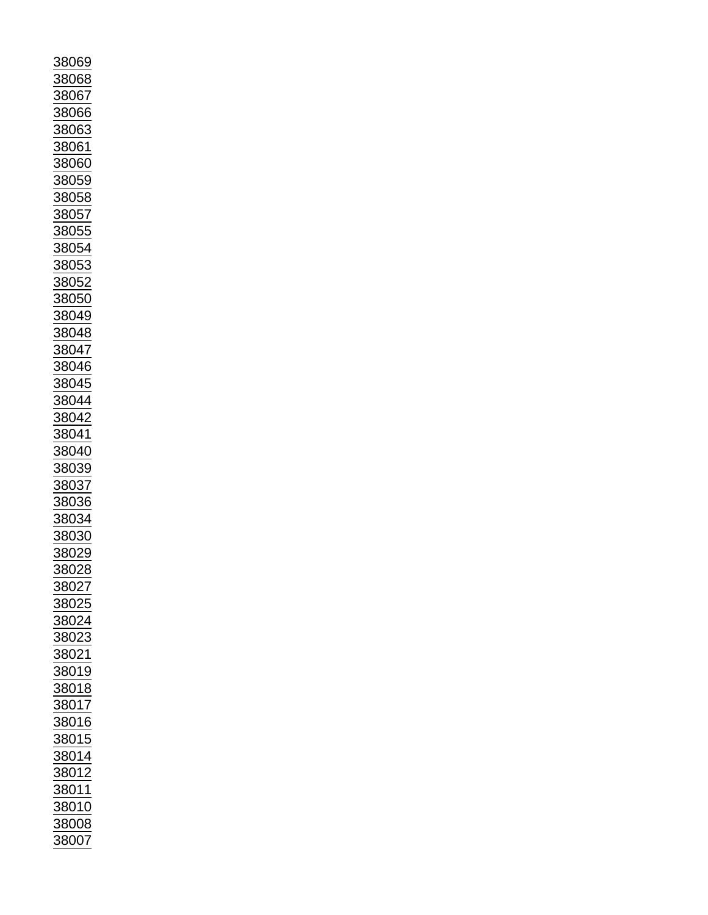| 38069             |
|-------------------|
|                   |
|                   |
|                   |
| 8068              |
|                   |
| 38067             |
|                   |
| 8066              |
|                   |
| <u>88063</u><br>ξ |
|                   |
| 88061             |
|                   |
| 38060             |
|                   |
| 88059             |
|                   |
| 38058             |
|                   |
| 8057              |
|                   |
| 38055             |
|                   |
| <u>3805</u>       |
|                   |
| 3805              |
|                   |
| 38 <u>05</u>      |
|                   |
| 38050             |
|                   |
| 38049             |
|                   |
|                   |
| 38048             |
|                   |
| <u>88047</u>      |
|                   |
| 38046             |
|                   |
| 38045             |
|                   |
| 38044             |
|                   |
| 38042             |
|                   |
| 38041             |
|                   |
| 38040             |
|                   |
| 38039             |
|                   |
| 38037             |
|                   |
|                   |
|                   |
| <u>38036</u>      |
|                   |
| 38034             |
|                   |
| 38030             |
|                   |
| 38029             |
|                   |
| 8802<br>S         |
|                   |
| 38027             |
|                   |
| 38025             |
|                   |
| 38024             |
|                   |
|                   |
| $\frac{1}{8023}$  |
|                   |
| 38021             |
|                   |
| 38019             |
| 38018             |
|                   |
|                   |
| 38017             |
|                   |
| 38016             |
|                   |
| 38015             |
|                   |
| <u>38014</u>      |
|                   |
| 38012             |
|                   |
| <u>38011</u>      |
|                   |
| 38010             |
|                   |
| 38008<br>38007    |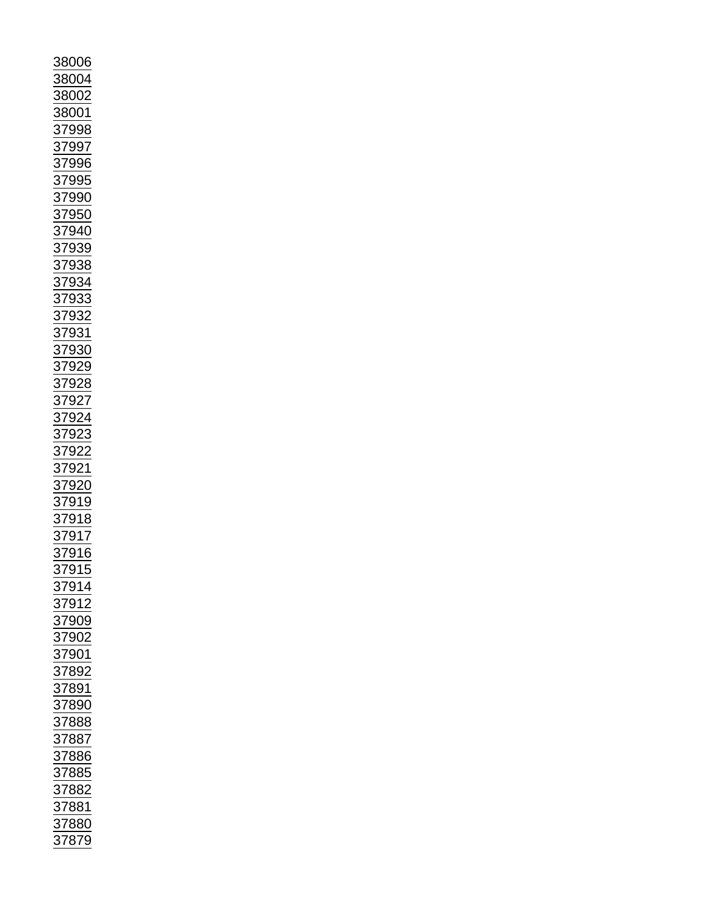| 8006                                                                                                              |
|-------------------------------------------------------------------------------------------------------------------|
|                                                                                                                   |
| <u>88004</u>                                                                                                      |
|                                                                                                                   |
|                                                                                                                   |
| $\frac{122}{1}$ $\frac{1200}{1}$ $\frac{1200}{1}$ $\frac{1200}{1}$ $\frac{1200}{1}$                               |
| $\frac{1}{87998}$                                                                                                 |
|                                                                                                                   |
|                                                                                                                   |
|                                                                                                                   |
|                                                                                                                   |
|                                                                                                                   |
|                                                                                                                   |
|                                                                                                                   |
|                                                                                                                   |
|                                                                                                                   |
|                                                                                                                   |
|                                                                                                                   |
|                                                                                                                   |
|                                                                                                                   |
|                                                                                                                   |
|                                                                                                                   |
|                                                                                                                   |
|                                                                                                                   |
|                                                                                                                   |
|                                                                                                                   |
|                                                                                                                   |
|                                                                                                                   |
|                                                                                                                   |
|                                                                                                                   |
|                                                                                                                   |
|                                                                                                                   |
|                                                                                                                   |
|                                                                                                                   |
|                                                                                                                   |
|                                                                                                                   |
|                                                                                                                   |
|                                                                                                                   |
|                                                                                                                   |
|                                                                                                                   |
|                                                                                                                   |
|                                                                                                                   |
| <u>917</u><br>$\frac{37}{37}$                                                                                     |
| 3<br>$\frac{916}{915}$                                                                                            |
|                                                                                                                   |
| $\frac{1}{2}$                                                                                                     |
|                                                                                                                   |
|                                                                                                                   |
|                                                                                                                   |
|                                                                                                                   |
|                                                                                                                   |
|                                                                                                                   |
|                                                                                                                   |
|                                                                                                                   |
|                                                                                                                   |
|                                                                                                                   |
|                                                                                                                   |
|                                                                                                                   |
|                                                                                                                   |
|                                                                                                                   |
|                                                                                                                   |
|                                                                                                                   |
|                                                                                                                   |
|                                                                                                                   |
| 37914<br>37912<br>37902<br>37902<br>37802<br>37882<br>37888<br>37885<br>37885<br>37885<br>37885<br>37885<br>37882 |
|                                                                                                                   |
|                                                                                                                   |
| <u>37880</u>                                                                                                      |
| 37879                                                                                                             |
|                                                                                                                   |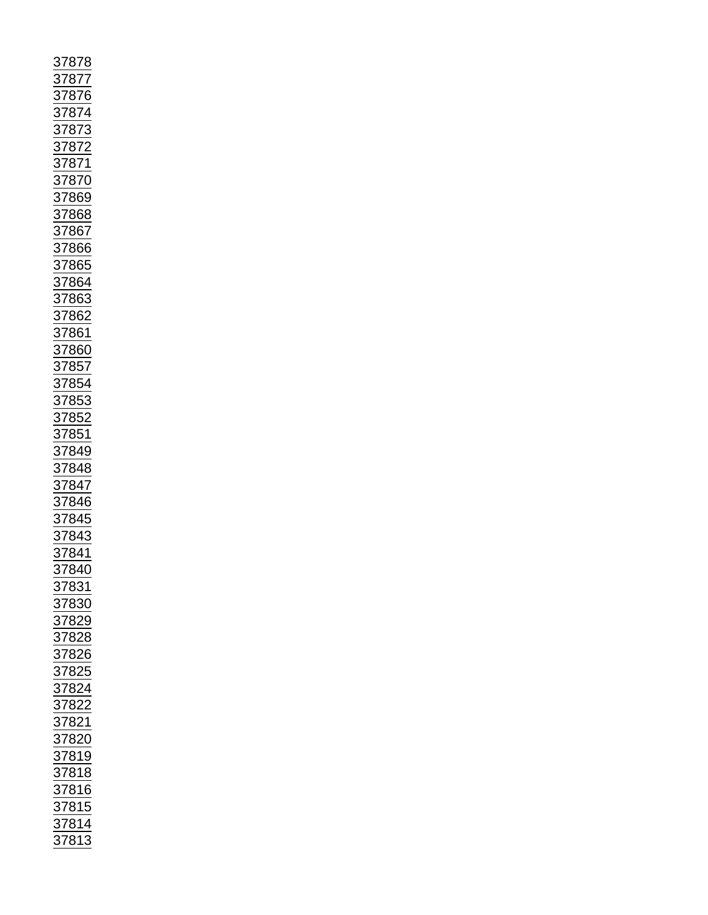| 37<br>$^{\prime}87$<br>3                                                                                                                                                                                                                                 |
|----------------------------------------------------------------------------------------------------------------------------------------------------------------------------------------------------------------------------------------------------------|
|                                                                                                                                                                                                                                                          |
| 37877<br>37876                                                                                                                                                                                                                                           |
|                                                                                                                                                                                                                                                          |
|                                                                                                                                                                                                                                                          |
|                                                                                                                                                                                                                                                          |
|                                                                                                                                                                                                                                                          |
|                                                                                                                                                                                                                                                          |
|                                                                                                                                                                                                                                                          |
|                                                                                                                                                                                                                                                          |
|                                                                                                                                                                                                                                                          |
|                                                                                                                                                                                                                                                          |
|                                                                                                                                                                                                                                                          |
|                                                                                                                                                                                                                                                          |
|                                                                                                                                                                                                                                                          |
|                                                                                                                                                                                                                                                          |
|                                                                                                                                                                                                                                                          |
|                                                                                                                                                                                                                                                          |
|                                                                                                                                                                                                                                                          |
|                                                                                                                                                                                                                                                          |
| 37874<br>37872<br>37872<br>37872<br>37870<br>37868<br>37866<br>37866<br>37863<br>37862<br>37862<br>37862<br>37862<br>37853<br>37853<br>37853<br>37853<br>37862<br>37862<br>37862<br>37862<br>37862<br>37862<br>37862<br>37862<br>37862<br>37865<br>37864 |
|                                                                                                                                                                                                                                                          |
|                                                                                                                                                                                                                                                          |
|                                                                                                                                                                                                                                                          |
|                                                                                                                                                                                                                                                          |
|                                                                                                                                                                                                                                                          |
|                                                                                                                                                                                                                                                          |
|                                                                                                                                                                                                                                                          |
|                                                                                                                                                                                                                                                          |
|                                                                                                                                                                                                                                                          |
|                                                                                                                                                                                                                                                          |
|                                                                                                                                                                                                                                                          |
|                                                                                                                                                                                                                                                          |
|                                                                                                                                                                                                                                                          |
|                                                                                                                                                                                                                                                          |
|                                                                                                                                                                                                                                                          |
|                                                                                                                                                                                                                                                          |
|                                                                                                                                                                                                                                                          |
|                                                                                                                                                                                                                                                          |
|                                                                                                                                                                                                                                                          |
|                                                                                                                                                                                                                                                          |
|                                                                                                                                                                                                                                                          |
|                                                                                                                                                                                                                                                          |
|                                                                                                                                                                                                                                                          |
|                                                                                                                                                                                                                                                          |
| 37840                                                                                                                                                                                                                                                    |
|                                                                                                                                                                                                                                                          |
|                                                                                                                                                                                                                                                          |
|                                                                                                                                                                                                                                                          |
|                                                                                                                                                                                                                                                          |
|                                                                                                                                                                                                                                                          |
|                                                                                                                                                                                                                                                          |
|                                                                                                                                                                                                                                                          |
|                                                                                                                                                                                                                                                          |
|                                                                                                                                                                                                                                                          |
|                                                                                                                                                                                                                                                          |
|                                                                                                                                                                                                                                                          |
|                                                                                                                                                                                                                                                          |
|                                                                                                                                                                                                                                                          |
|                                                                                                                                                                                                                                                          |
|                                                                                                                                                                                                                                                          |
|                                                                                                                                                                                                                                                          |
|                                                                                                                                                                                                                                                          |
|                                                                                                                                                                                                                                                          |
|                                                                                                                                                                                                                                                          |
|                                                                                                                                                                                                                                                          |
|                                                                                                                                                                                                                                                          |
|                                                                                                                                                                                                                                                          |
|                                                                                                                                                                                                                                                          |
| 37831<br>37830<br>37829<br>37828<br>37826<br>37822<br>37822<br>37822<br>37818<br>37816<br>37815<br>37815<br>37815                                                                                                                                        |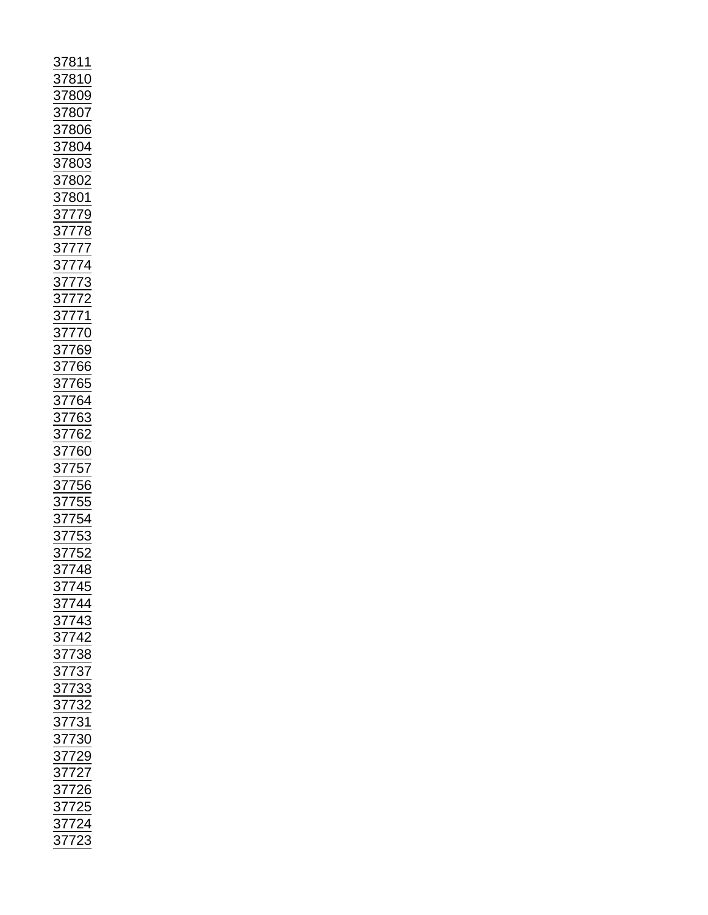| $\frac{37811}{37800} \underline{37800} \underline{37800} \underline{37800} \underline{37800} \underline{37800} \underline{37800} \underline{37800} \underline{37800} \underline{37800} \underline{37800} \underline{378001} \underline{378001} \underline{378001} \underline{377772} \underline{377772} \underline{377772} \underline{377772} \underline{377770} \underline{3777769} \underline{3777666} \underline{377664} \underline{$ |  |  |
|------------------------------------------------------------------------------------------------------------------------------------------------------------------------------------------------------------------------------------------------------------------------------------------------------------------------------------------------------------------------------------------------------------------------------------------|--|--|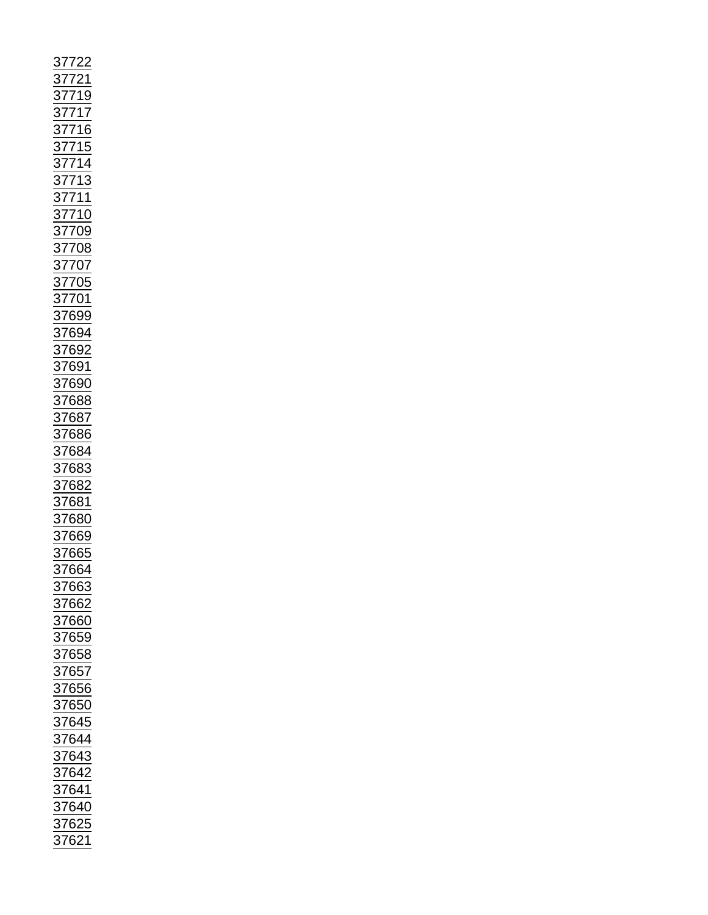|                                                                      |                         | 377221<br>37721<br>3771716<br>377115<br>377115<br>377111<br>377111<br>377111<br>377110<br>377009<br>377009<br>377009<br>377009<br>377009<br>377009<br>377009<br>377009<br>377009<br>377009<br>376991<br>376882<br>376882<br>376882<br>376882<br>376882<br>376882<br>376882<br>376882<br>376882<br>376882<br>376882<br>37688 |
|----------------------------------------------------------------------|-------------------------|-----------------------------------------------------------------------------------------------------------------------------------------------------------------------------------------------------------------------------------------------------------------------------------------------------------------------------|
|                                                                      |                         |                                                                                                                                                                                                                                                                                                                             |
|                                                                      |                         |                                                                                                                                                                                                                                                                                                                             |
|                                                                      |                         |                                                                                                                                                                                                                                                                                                                             |
|                                                                      |                         |                                                                                                                                                                                                                                                                                                                             |
|                                                                      |                         |                                                                                                                                                                                                                                                                                                                             |
|                                                                      |                         |                                                                                                                                                                                                                                                                                                                             |
|                                                                      |                         |                                                                                                                                                                                                                                                                                                                             |
|                                                                      |                         |                                                                                                                                                                                                                                                                                                                             |
|                                                                      |                         |                                                                                                                                                                                                                                                                                                                             |
|                                                                      |                         |                                                                                                                                                                                                                                                                                                                             |
|                                                                      |                         |                                                                                                                                                                                                                                                                                                                             |
|                                                                      |                         |                                                                                                                                                                                                                                                                                                                             |
|                                                                      |                         |                                                                                                                                                                                                                                                                                                                             |
|                                                                      |                         |                                                                                                                                                                                                                                                                                                                             |
|                                                                      |                         |                                                                                                                                                                                                                                                                                                                             |
|                                                                      |                         |                                                                                                                                                                                                                                                                                                                             |
|                                                                      |                         |                                                                                                                                                                                                                                                                                                                             |
|                                                                      |                         |                                                                                                                                                                                                                                                                                                                             |
|                                                                      |                         |                                                                                                                                                                                                                                                                                                                             |
|                                                                      |                         |                                                                                                                                                                                                                                                                                                                             |
|                                                                      |                         |                                                                                                                                                                                                                                                                                                                             |
|                                                                      | 37663<br>37662          |                                                                                                                                                                                                                                                                                                                             |
|                                                                      | 37660                   |                                                                                                                                                                                                                                                                                                                             |
|                                                                      |                         |                                                                                                                                                                                                                                                                                                                             |
|                                                                      |                         |                                                                                                                                                                                                                                                                                                                             |
|                                                                      | 37659<br>37658<br>----- |                                                                                                                                                                                                                                                                                                                             |
| $\frac{128}{37657}$ $\frac{37656}{37656}$                            |                         |                                                                                                                                                                                                                                                                                                                             |
|                                                                      |                         |                                                                                                                                                                                                                                                                                                                             |
|                                                                      |                         |                                                                                                                                                                                                                                                                                                                             |
|                                                                      |                         |                                                                                                                                                                                                                                                                                                                             |
|                                                                      |                         |                                                                                                                                                                                                                                                                                                                             |
|                                                                      |                         |                                                                                                                                                                                                                                                                                                                             |
|                                                                      |                         |                                                                                                                                                                                                                                                                                                                             |
|                                                                      |                         |                                                                                                                                                                                                                                                                                                                             |
|                                                                      |                         |                                                                                                                                                                                                                                                                                                                             |
|                                                                      |                         |                                                                                                                                                                                                                                                                                                                             |
|                                                                      |                         |                                                                                                                                                                                                                                                                                                                             |
|                                                                      |                         |                                                                                                                                                                                                                                                                                                                             |
|                                                                      |                         |                                                                                                                                                                                                                                                                                                                             |
| 37650<br>37645<br>37644<br>37643<br>37642<br>37640<br>37625<br>37625 |                         |                                                                                                                                                                                                                                                                                                                             |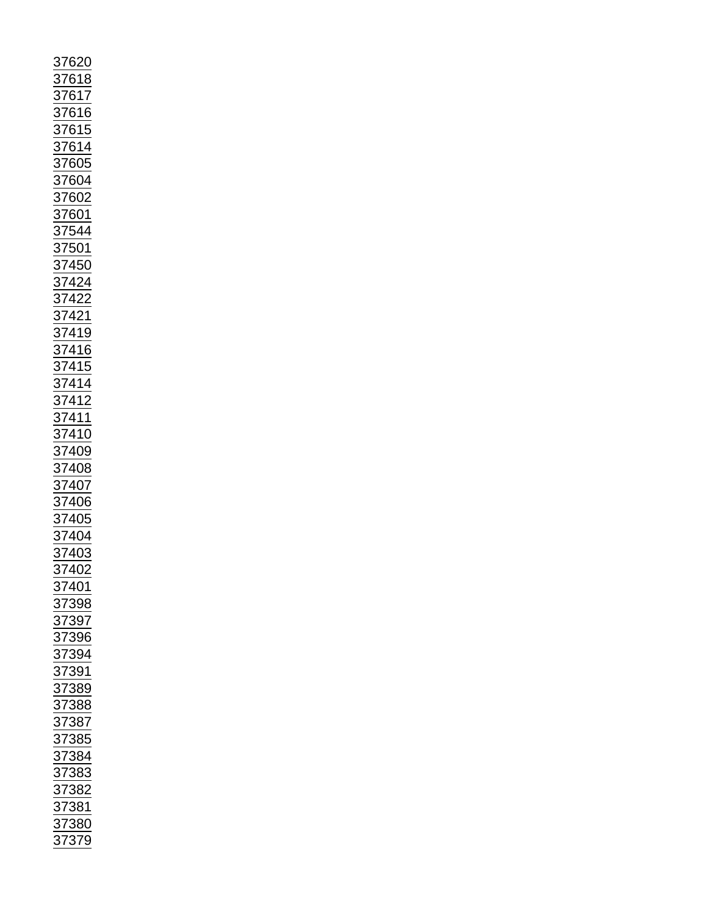| 37620                                                                                                                                                                                                                                                                                    |  |
|------------------------------------------------------------------------------------------------------------------------------------------------------------------------------------------------------------------------------------------------------------------------------------------|--|
|                                                                                                                                                                                                                                                                                          |  |
|                                                                                                                                                                                                                                                                                          |  |
|                                                                                                                                                                                                                                                                                          |  |
|                                                                                                                                                                                                                                                                                          |  |
|                                                                                                                                                                                                                                                                                          |  |
|                                                                                                                                                                                                                                                                                          |  |
|                                                                                                                                                                                                                                                                                          |  |
|                                                                                                                                                                                                                                                                                          |  |
|                                                                                                                                                                                                                                                                                          |  |
|                                                                                                                                                                                                                                                                                          |  |
|                                                                                                                                                                                                                                                                                          |  |
|                                                                                                                                                                                                                                                                                          |  |
|                                                                                                                                                                                                                                                                                          |  |
|                                                                                                                                                                                                                                                                                          |  |
|                                                                                                                                                                                                                                                                                          |  |
|                                                                                                                                                                                                                                                                                          |  |
|                                                                                                                                                                                                                                                                                          |  |
|                                                                                                                                                                                                                                                                                          |  |
|                                                                                                                                                                                                                                                                                          |  |
|                                                                                                                                                                                                                                                                                          |  |
| 37618<br>37616<br>37615<br>37615<br>37614<br>37605<br>37604<br>37602<br>37602<br>37602<br>37602<br>37602<br>37602<br>37602<br>37601<br>374424<br>374422<br>374422<br>374422<br>374415<br>374415<br>374415<br>374414<br>374412<br>374412<br>374412<br>374412<br>374412<br>374412<br>37440 |  |
|                                                                                                                                                                                                                                                                                          |  |
|                                                                                                                                                                                                                                                                                          |  |
|                                                                                                                                                                                                                                                                                          |  |
|                                                                                                                                                                                                                                                                                          |  |
|                                                                                                                                                                                                                                                                                          |  |
|                                                                                                                                                                                                                                                                                          |  |
|                                                                                                                                                                                                                                                                                          |  |
|                                                                                                                                                                                                                                                                                          |  |
|                                                                                                                                                                                                                                                                                          |  |
|                                                                                                                                                                                                                                                                                          |  |
|                                                                                                                                                                                                                                                                                          |  |
|                                                                                                                                                                                                                                                                                          |  |
|                                                                                                                                                                                                                                                                                          |  |
|                                                                                                                                                                                                                                                                                          |  |
|                                                                                                                                                                                                                                                                                          |  |
|                                                                                                                                                                                                                                                                                          |  |
|                                                                                                                                                                                                                                                                                          |  |
|                                                                                                                                                                                                                                                                                          |  |
|                                                                                                                                                                                                                                                                                          |  |
|                                                                                                                                                                                                                                                                                          |  |
|                                                                                                                                                                                                                                                                                          |  |
|                                                                                                                                                                                                                                                                                          |  |
|                                                                                                                                                                                                                                                                                          |  |
| $\overline{\frac{37}{5}}$<br>402                                                                                                                                                                                                                                                         |  |
| 101                                                                                                                                                                                                                                                                                      |  |
| $\frac{37}{2}$                                                                                                                                                                                                                                                                           |  |
| 398<br>$\frac{37}{2}$                                                                                                                                                                                                                                                                    |  |
|                                                                                                                                                                                                                                                                                          |  |
| <u>97</u><br>$\frac{37}{2}$                                                                                                                                                                                                                                                              |  |
| 396<br>$\frac{1}{3}$                                                                                                                                                                                                                                                                     |  |
| $\frac{1}{2}$<br>394                                                                                                                                                                                                                                                                     |  |
|                                                                                                                                                                                                                                                                                          |  |
| $\frac{37}{37}$<br>$\frac{1}{91}$                                                                                                                                                                                                                                                        |  |
| 889                                                                                                                                                                                                                                                                                      |  |
|                                                                                                                                                                                                                                                                                          |  |
| $\frac{37}{37}$<br>888                                                                                                                                                                                                                                                                   |  |
|                                                                                                                                                                                                                                                                                          |  |
|                                                                                                                                                                                                                                                                                          |  |
|                                                                                                                                                                                                                                                                                          |  |
| 387<br>385<br>384<br>$\frac{1}{37}$                                                                                                                                                                                                                                                      |  |
|                                                                                                                                                                                                                                                                                          |  |
| $\frac{1}{83}$                                                                                                                                                                                                                                                                           |  |
| $\frac{37}{37}$<br>$\frac{1}{882}$                                                                                                                                                                                                                                                       |  |
|                                                                                                                                                                                                                                                                                          |  |
| $\frac{1}{881}$                                                                                                                                                                                                                                                                          |  |
| $\frac{1}{3}$                                                                                                                                                                                                                                                                            |  |
| 37<br>379                                                                                                                                                                                                                                                                                |  |
|                                                                                                                                                                                                                                                                                          |  |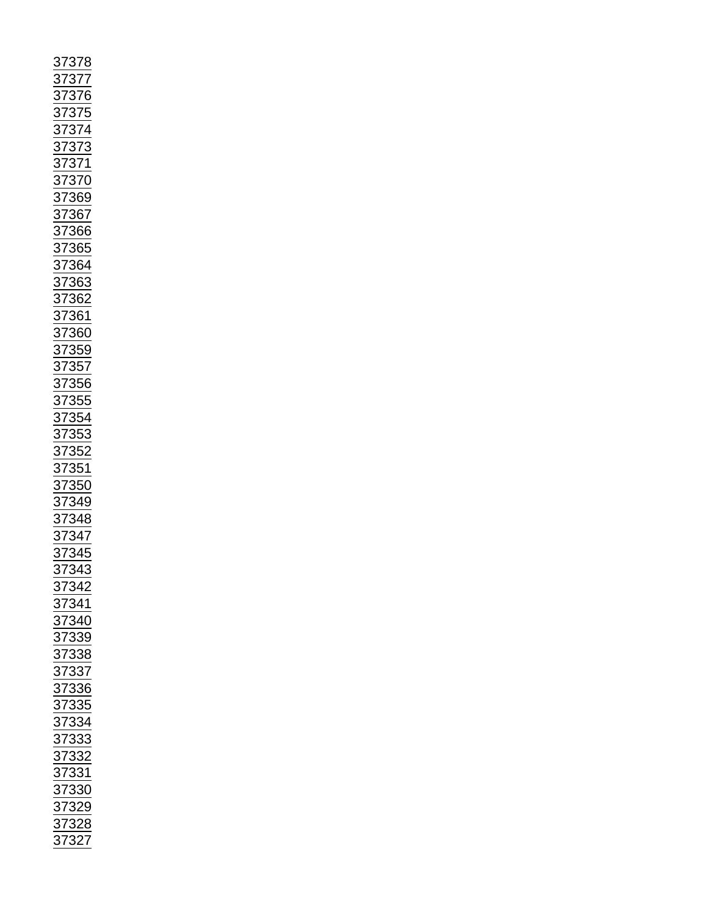| 37378<br>37377<br>37376<br>37375<br>3737373<br>3737373<br>3737366<br>37366<br>37366<br>37368<br>37368<br>37368<br>37368<br>37368<br>37368<br>37368<br>37368<br>37368<br>37368<br>37368<br>37368<br>37368<br>37368<br>37368<br>37368<br>37368<br>37368<br>37368<br>37355 |
|-------------------------------------------------------------------------------------------------------------------------------------------------------------------------------------------------------------------------------------------------------------------------|
|                                                                                                                                                                                                                                                                         |
|                                                                                                                                                                                                                                                                         |
|                                                                                                                                                                                                                                                                         |
|                                                                                                                                                                                                                                                                         |
|                                                                                                                                                                                                                                                                         |
|                                                                                                                                                                                                                                                                         |
|                                                                                                                                                                                                                                                                         |
|                                                                                                                                                                                                                                                                         |
|                                                                                                                                                                                                                                                                         |
|                                                                                                                                                                                                                                                                         |
|                                                                                                                                                                                                                                                                         |
|                                                                                                                                                                                                                                                                         |
|                                                                                                                                                                                                                                                                         |
|                                                                                                                                                                                                                                                                         |
|                                                                                                                                                                                                                                                                         |
|                                                                                                                                                                                                                                                                         |
|                                                                                                                                                                                                                                                                         |
|                                                                                                                                                                                                                                                                         |
|                                                                                                                                                                                                                                                                         |
|                                                                                                                                                                                                                                                                         |
|                                                                                                                                                                                                                                                                         |
|                                                                                                                                                                                                                                                                         |
|                                                                                                                                                                                                                                                                         |
| $\frac{1}{2}$<br><u>343</u>                                                                                                                                                                                                                                             |
|                                                                                                                                                                                                                                                                         |
|                                                                                                                                                                                                                                                                         |
|                                                                                                                                                                                                                                                                         |
|                                                                                                                                                                                                                                                                         |
|                                                                                                                                                                                                                                                                         |
|                                                                                                                                                                                                                                                                         |
|                                                                                                                                                                                                                                                                         |
|                                                                                                                                                                                                                                                                         |
|                                                                                                                                                                                                                                                                         |
|                                                                                                                                                                                                                                                                         |
|                                                                                                                                                                                                                                                                         |
|                                                                                                                                                                                                                                                                         |
|                                                                                                                                                                                                                                                                         |
|                                                                                                                                                                                                                                                                         |
|                                                                                                                                                                                                                                                                         |
|                                                                                                                                                                                                                                                                         |
|                                                                                                                                                                                                                                                                         |
|                                                                                                                                                                                                                                                                         |
|                                                                                                                                                                                                                                                                         |
|                                                                                                                                                                                                                                                                         |
|                                                                                                                                                                                                                                                                         |
|                                                                                                                                                                                                                                                                         |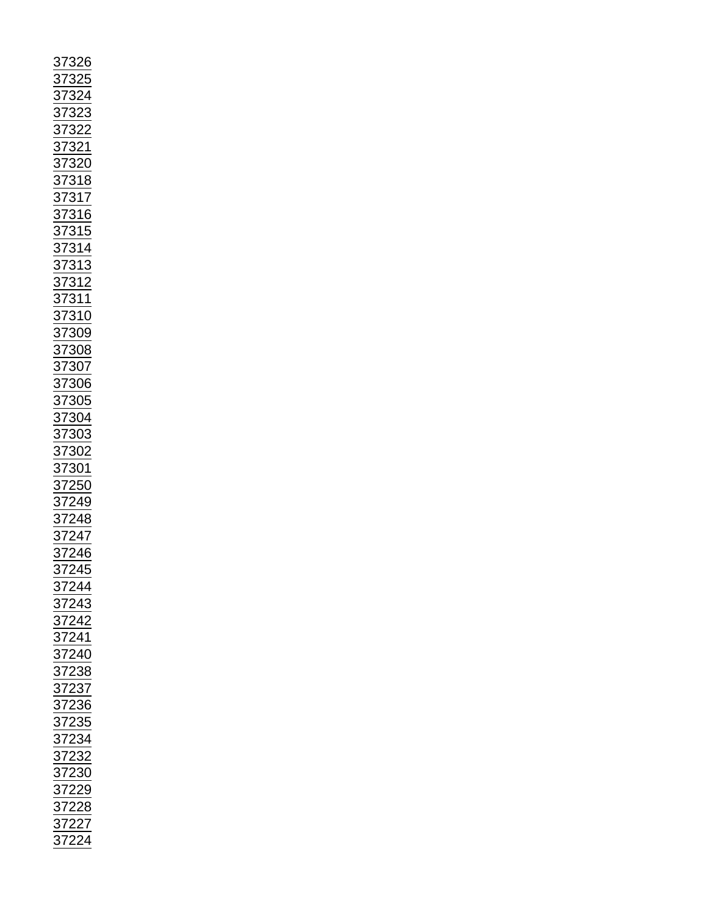| 37326<br>37325<br>373221<br>373221<br>373221<br>373221<br>373221<br>373221<br>373221<br>37318<br>37316<br>37316<br>37316<br>373110<br>37310<br>37310<br>37310<br>37300<br>37300<br>37300<br>37300<br>37300<br>37300<br>37300<br>37300<br>37300<br>37300<br>37300<br>37300<br>37300<br>37302<br>372244<br>372244<br>372244<br>372244<br> |  |
|-----------------------------------------------------------------------------------------------------------------------------------------------------------------------------------------------------------------------------------------------------------------------------------------------------------------------------------------|--|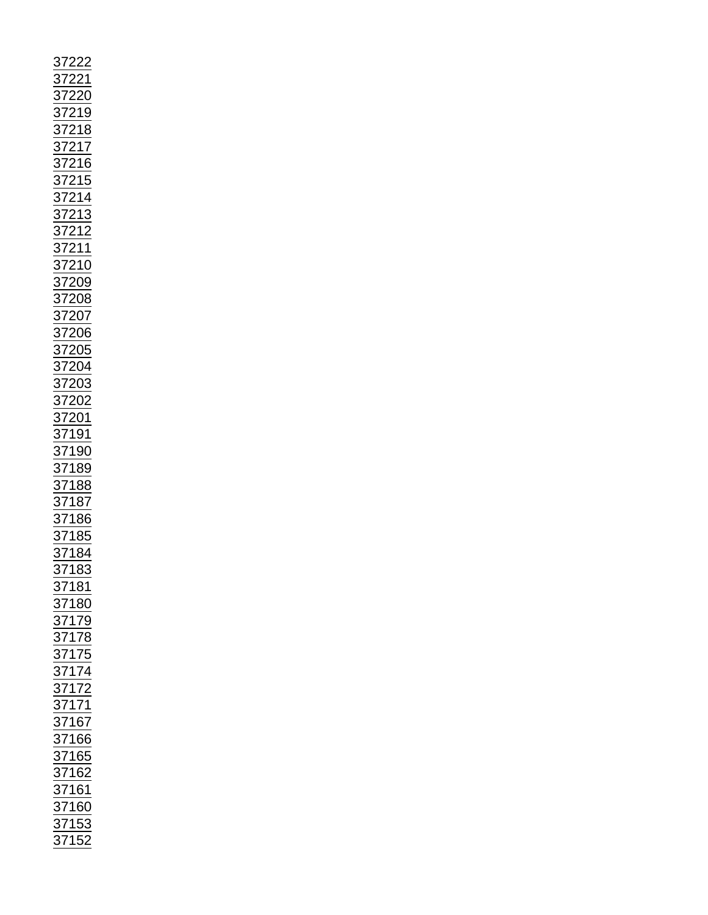| 37222<br>372219<br>372218<br>37218<br>37215<br>37214<br>37214<br>37212<br>37212<br>37200<br>37200<br>37200<br>37200<br>37200<br>37200<br>37200<br>37200<br>37200<br>37219<br>37210<br>37210<br>37200<br>37200<br>37200<br>37200<br>37200<br>37200<br>37200<br>37200<br>37200<br>37200<br>37200<br>37200<br>37200<br>37200<br>37200<br>3720 |  |  |  |
|--------------------------------------------------------------------------------------------------------------------------------------------------------------------------------------------------------------------------------------------------------------------------------------------------------------------------------------------|--|--|--|
|                                                                                                                                                                                                                                                                                                                                            |  |  |  |
|                                                                                                                                                                                                                                                                                                                                            |  |  |  |
|                                                                                                                                                                                                                                                                                                                                            |  |  |  |
|                                                                                                                                                                                                                                                                                                                                            |  |  |  |
|                                                                                                                                                                                                                                                                                                                                            |  |  |  |
|                                                                                                                                                                                                                                                                                                                                            |  |  |  |
|                                                                                                                                                                                                                                                                                                                                            |  |  |  |
|                                                                                                                                                                                                                                                                                                                                            |  |  |  |
|                                                                                                                                                                                                                                                                                                                                            |  |  |  |
|                                                                                                                                                                                                                                                                                                                                            |  |  |  |
|                                                                                                                                                                                                                                                                                                                                            |  |  |  |
|                                                                                                                                                                                                                                                                                                                                            |  |  |  |
|                                                                                                                                                                                                                                                                                                                                            |  |  |  |
|                                                                                                                                                                                                                                                                                                                                            |  |  |  |
|                                                                                                                                                                                                                                                                                                                                            |  |  |  |
|                                                                                                                                                                                                                                                                                                                                            |  |  |  |
|                                                                                                                                                                                                                                                                                                                                            |  |  |  |
|                                                                                                                                                                                                                                                                                                                                            |  |  |  |
|                                                                                                                                                                                                                                                                                                                                            |  |  |  |
|                                                                                                                                                                                                                                                                                                                                            |  |  |  |
|                                                                                                                                                                                                                                                                                                                                            |  |  |  |
|                                                                                                                                                                                                                                                                                                                                            |  |  |  |
|                                                                                                                                                                                                                                                                                                                                            |  |  |  |
|                                                                                                                                                                                                                                                                                                                                            |  |  |  |
|                                                                                                                                                                                                                                                                                                                                            |  |  |  |
|                                                                                                                                                                                                                                                                                                                                            |  |  |  |
| 37183<br>37181<br>37181<br>37179<br>37175<br>37175<br>37174<br>37174<br>37165<br>37165<br>37165<br>37165<br>37162<br>37162<br>37162                                                                                                                                                                                                        |  |  |  |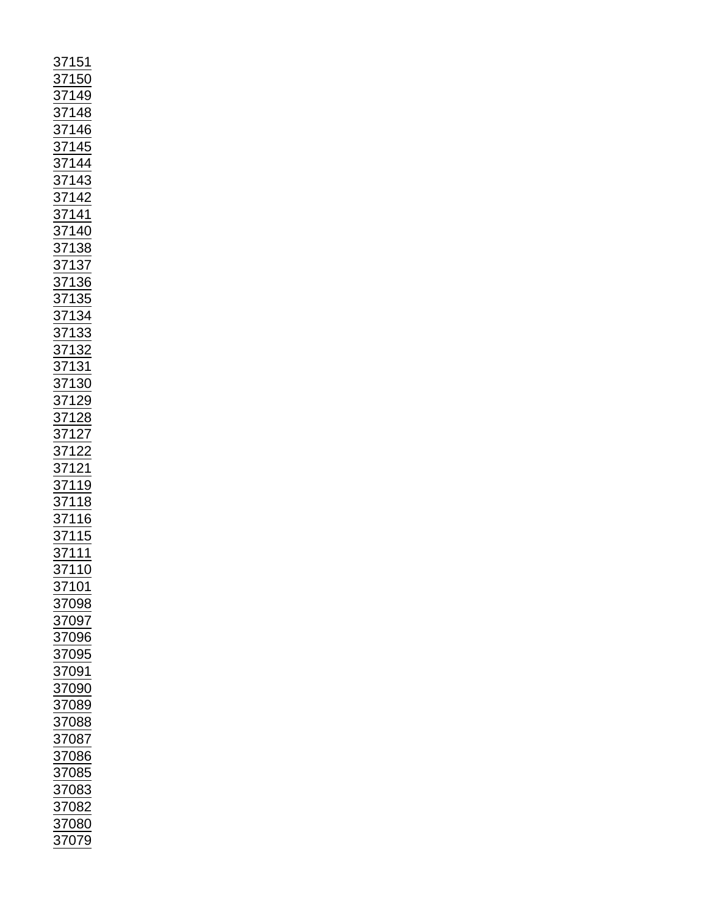| 37151<br>37150<br>37149<br>37148<br>371445<br>371442<br>371442<br>371442<br>371440<br>37136<br>37136<br>37133<br>37133<br>37132<br>37122<br>37122<br>37122<br>37122<br>37122<br>37122<br>37132<br>37132<br>37132<br>37132<br>37132<br>37122 |                   |
|---------------------------------------------------------------------------------------------------------------------------------------------------------------------------------------------------------------------------------------------|-------------------|
|                                                                                                                                                                                                                                             | $\frac{1}{27101}$ |
|                                                                                                                                                                                                                                             | 37098             |
|                                                                                                                                                                                                                                             |                   |
| 37097                                                                                                                                                                                                                                       |                   |
|                                                                                                                                                                                                                                             |                   |
| 37096                                                                                                                                                                                                                                       |                   |
|                                                                                                                                                                                                                                             |                   |
| <u>37095</u>                                                                                                                                                                                                                                |                   |
| <u>87091</u>                                                                                                                                                                                                                                |                   |
|                                                                                                                                                                                                                                             |                   |
|                                                                                                                                                                                                                                             |                   |
|                                                                                                                                                                                                                                             |                   |
| 37090<br>37089                                                                                                                                                                                                                              |                   |
|                                                                                                                                                                                                                                             |                   |
| 37088                                                                                                                                                                                                                                       |                   |
| $\frac{1}{37087}$                                                                                                                                                                                                                           |                   |
|                                                                                                                                                                                                                                             |                   |
| 37086                                                                                                                                                                                                                                       |                   |
| 37085                                                                                                                                                                                                                                       |                   |
|                                                                                                                                                                                                                                             |                   |
| $\frac{1}{37083}$                                                                                                                                                                                                                           |                   |
|                                                                                                                                                                                                                                             |                   |
| 37082                                                                                                                                                                                                                                       |                   |
| 37080                                                                                                                                                                                                                                       |                   |
| 37079                                                                                                                                                                                                                                       |                   |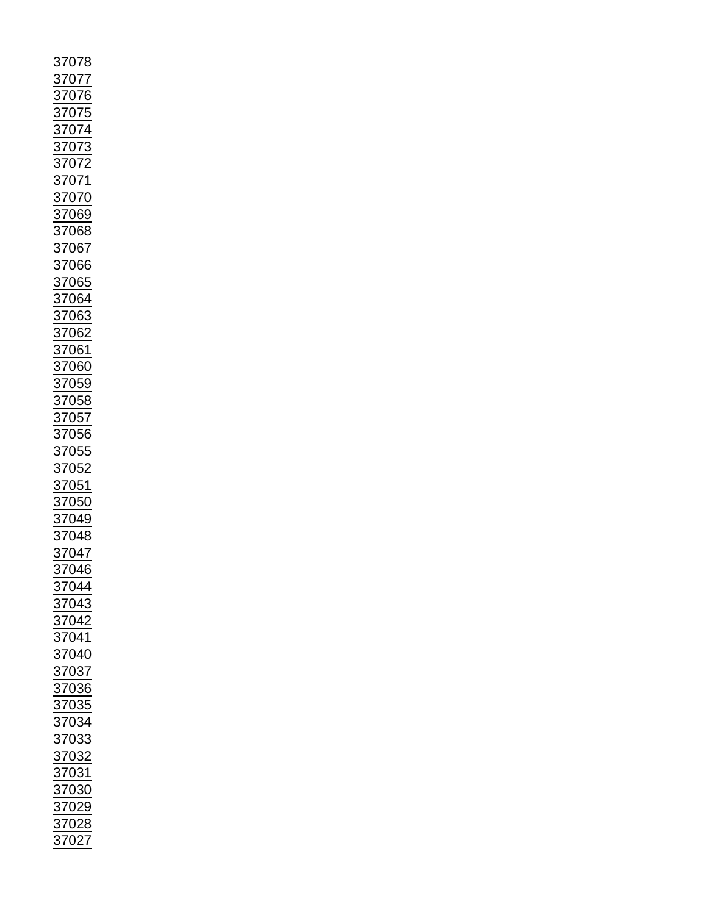| 07<br>$\overline{\mathbf{z}}$                                                                            |
|----------------------------------------------------------------------------------------------------------|
|                                                                                                          |
| $\frac{1}{2}707$                                                                                         |
|                                                                                                          |
|                                                                                                          |
|                                                                                                          |
|                                                                                                          |
|                                                                                                          |
|                                                                                                          |
|                                                                                                          |
| 3707<br>3707<br>3707<br>3707<br>3707                                                                     |
|                                                                                                          |
|                                                                                                          |
|                                                                                                          |
|                                                                                                          |
|                                                                                                          |
|                                                                                                          |
| 37073<br>37072<br>37071<br>37069<br>37069<br>37068                                                       |
|                                                                                                          |
|                                                                                                          |
|                                                                                                          |
|                                                                                                          |
|                                                                                                          |
|                                                                                                          |
|                                                                                                          |
|                                                                                                          |
|                                                                                                          |
|                                                                                                          |
|                                                                                                          |
|                                                                                                          |
|                                                                                                          |
|                                                                                                          |
|                                                                                                          |
|                                                                                                          |
| 37067<br>37066<br>37066<br>37063<br>37062<br>37062<br>37060<br>37058<br>37058<br>37058<br>37055<br>37056 |
|                                                                                                          |
|                                                                                                          |
|                                                                                                          |
|                                                                                                          |
|                                                                                                          |
| $\frac{1}{\frac{37052}{37051}}$                                                                          |
|                                                                                                          |
|                                                                                                          |
| $\frac{1}{37050}$<br>$\frac{1}{37049}$                                                                   |
|                                                                                                          |
| 37048<br>37047<br>37046                                                                                  |
|                                                                                                          |
|                                                                                                          |
|                                                                                                          |
| 37044                                                                                                    |
|                                                                                                          |
| <u>37043</u>                                                                                             |
|                                                                                                          |
| $\frac{37042}{ }$                                                                                        |
|                                                                                                          |
|                                                                                                          |
| $\frac{1}{37041}$<br>$\frac{37040}{27040}$                                                               |
| $\frac{37037}{37036}$ $\frac{37036}{37035}$                                                              |
|                                                                                                          |
|                                                                                                          |
|                                                                                                          |
|                                                                                                          |
| $\frac{2}{37034}$<br>$\frac{37033}{37033}$                                                               |
|                                                                                                          |
|                                                                                                          |
| $\frac{\frac{37032}{37032}}{\frac{37031}{122}}$                                                          |
|                                                                                                          |
|                                                                                                          |
|                                                                                                          |
| $\frac{2}{37030}$<br>$\frac{37029}{37029}$                                                               |
|                                                                                                          |
| 37028<br>37027                                                                                           |
|                                                                                                          |
|                                                                                                          |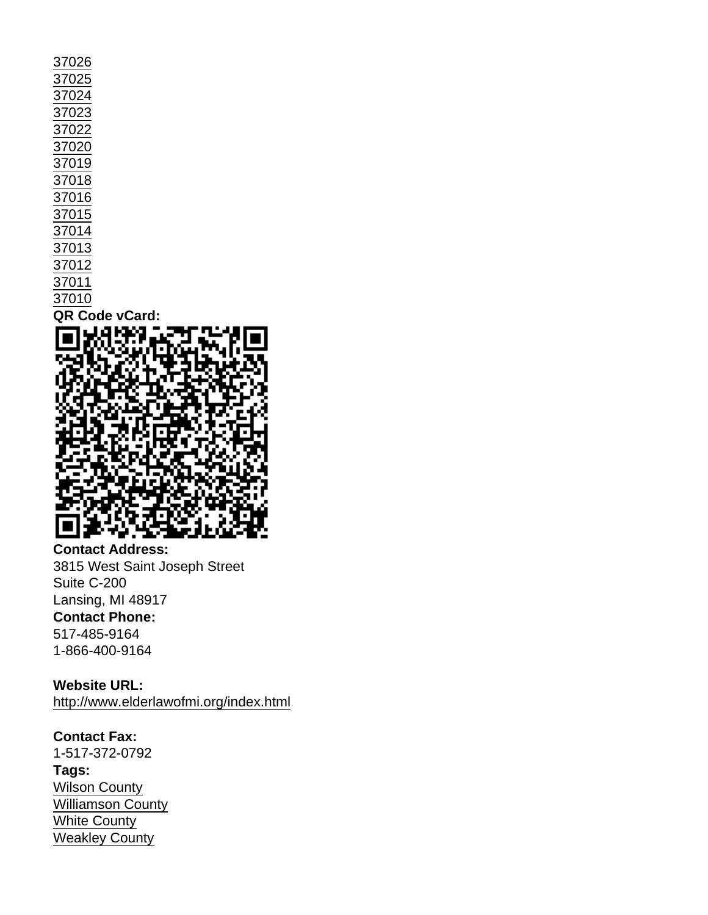| 37026          |
|----------------|
| 37025          |
| 37024          |
| 37023          |
| 37022          |
| 37020          |
| 37019          |
| 37018          |
| 37016          |
| 37015          |
| 37014          |
| 37013          |
| 37012          |
| 37011          |
| 37010          |
| QR Code vCard: |
|                |

Contact Address: 3815 West Saint Joseph Street Suite C-200 Lansing, MI 48917 Contact Phone: 517-485-9164 1-866-400-9164

Website URL: <http://www.elderlawofmi.org/index.html>

Contact Fax: 1-517-372-0792 Tags: [Wilson County](https://www.tals.org/taxonomy/term/158) [Williamson County](https://www.tals.org/taxonomy/term/157) [White County](https://www.tals.org/taxonomy/term/156) [Weakley County](https://www.tals.org/taxonomy/term/155)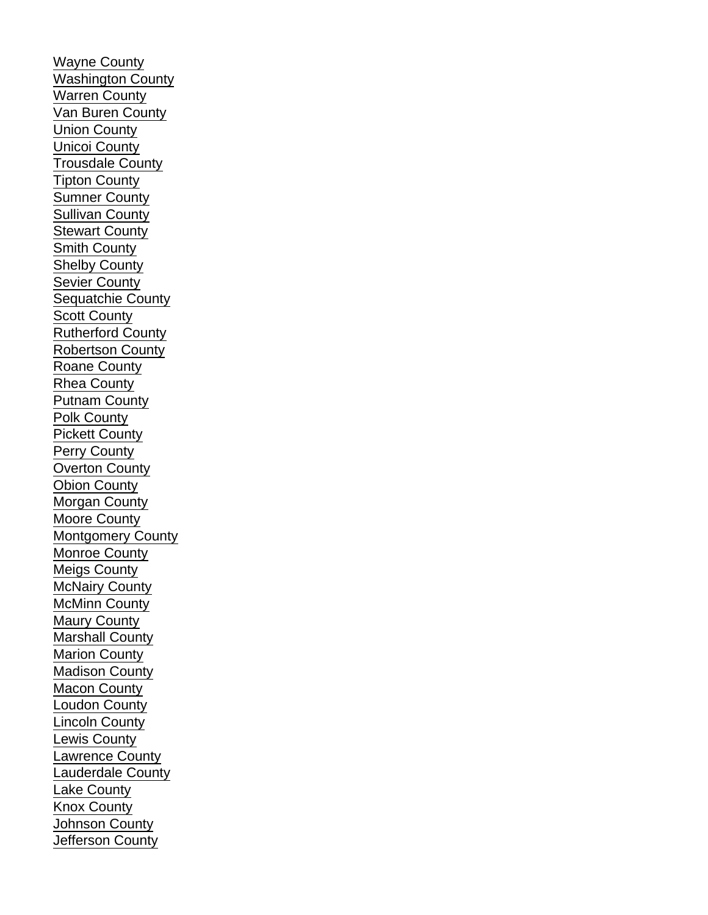[Wayne County](https://www.tals.org/taxonomy/term/154) [Washington County](https://www.tals.org/taxonomy/term/153) [Warren County](https://www.tals.org/taxonomy/term/152) [Van Buren County](https://www.tals.org/taxonomy/term/151) [Union County](https://www.tals.org/taxonomy/term/150) [Unicoi County](https://www.tals.org/taxonomy/term/149) [Trousdale County](https://www.tals.org/taxonomy/term/148) [Tipton County](https://www.tals.org/taxonomy/term/147) [Sumner County](https://www.tals.org/taxonomy/term/146) [Sullivan County](https://www.tals.org/taxonomy/term/145) **[Stewart County](https://www.tals.org/taxonomy/term/144)** [Smith County](https://www.tals.org/taxonomy/term/143) [Shelby County](https://www.tals.org/taxonomy/term/142) [Sevier County](https://www.tals.org/taxonomy/term/141) [Sequatchie County](https://www.tals.org/taxonomy/term/140) [Scott County](https://www.tals.org/taxonomy/term/139) [Rutherford County](https://www.tals.org/taxonomy/term/138) [Robertson County](https://www.tals.org/taxonomy/term/137) [Roane County](https://www.tals.org/taxonomy/term/136) [Rhea County](https://www.tals.org/taxonomy/term/135) [Putnam County](https://www.tals.org/taxonomy/term/134) [Polk County](https://www.tals.org/taxonomy/term/133) [Pickett County](https://www.tals.org/taxonomy/term/132) [Perry County](https://www.tals.org/taxonomy/term/131) [Overton County](https://www.tals.org/taxonomy/term/130) [Obion County](https://www.tals.org/taxonomy/term/129) [Morgan County](https://www.tals.org/taxonomy/term/128) [Moore County](https://www.tals.org/taxonomy/term/127) [Montgomery County](https://www.tals.org/taxonomy/term/126) [Monroe County](https://www.tals.org/taxonomy/term/125) [Meigs County](https://www.tals.org/taxonomy/term/124) [McNairy County](https://www.tals.org/taxonomy/term/123) [McMinn County](https://www.tals.org/taxonomy/term/122) [Maury County](https://www.tals.org/taxonomy/term/121) [Marshall County](https://www.tals.org/taxonomy/term/120) [Marion County](https://www.tals.org/taxonomy/term/119) [Madison County](https://www.tals.org/taxonomy/term/118) [Macon County](https://www.tals.org/taxonomy/term/117) [Loudon County](https://www.tals.org/taxonomy/term/116) [Lincoln County](https://www.tals.org/taxonomy/term/115) [Lewis County](https://www.tals.org/taxonomy/term/114) [Lawrence County](https://www.tals.org/taxonomy/term/113) [Lauderdale County](https://www.tals.org/taxonomy/term/112) [Lake County](https://www.tals.org/taxonomy/term/111) [Knox County](https://www.tals.org/taxonomy/term/110) [Johnson County](https://www.tals.org/taxonomy/term/109) [Jefferson County](https://www.tals.org/taxonomy/term/108)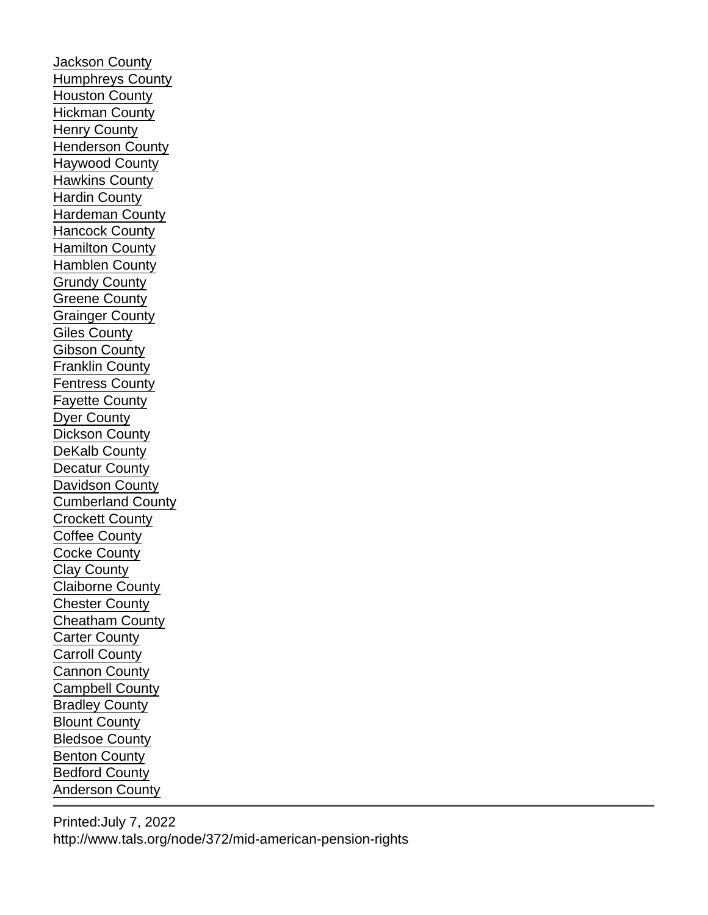[Jackson County](https://www.tals.org/taxonomy/term/107) [Humphreys County](https://www.tals.org/taxonomy/term/106) [Houston County](https://www.tals.org/taxonomy/term/105) [Hickman County](https://www.tals.org/taxonomy/term/104) [Henry County](https://www.tals.org/taxonomy/term/103) [Henderson County](https://www.tals.org/taxonomy/term/102) [Haywood County](https://www.tals.org/taxonomy/term/101) [Hawkins County](https://www.tals.org/taxonomy/term/100) [Hardin County](https://www.tals.org/taxonomy/term/99) [Hardeman County](https://www.tals.org/taxonomy/term/98) [Hancock County](https://www.tals.org/taxonomy/term/97) [Hamilton County](https://www.tals.org/taxonomy/term/96) [Hamblen County](https://www.tals.org/taxonomy/term/95) [Grundy County](https://www.tals.org/taxonomy/term/94) [Greene County](https://www.tals.org/taxonomy/term/93) [Grainger County](https://www.tals.org/taxonomy/term/92) [Giles County](https://www.tals.org/taxonomy/term/91) [Gibson County](https://www.tals.org/taxonomy/term/90) [Franklin County](https://www.tals.org/taxonomy/term/89) [Fentress County](https://www.tals.org/taxonomy/term/88) [Fayette County](https://www.tals.org/taxonomy/term/87) [Dyer County](https://www.tals.org/taxonomy/term/86) [Dickson County](https://www.tals.org/taxonomy/term/85) [DeKalb County](https://www.tals.org/taxonomy/term/84) [Decatur County](https://www.tals.org/taxonomy/term/83) [Davidson County](https://www.tals.org/taxonomy/term/82) [Cumberland County](https://www.tals.org/taxonomy/term/81) [Crockett County](https://www.tals.org/taxonomy/term/80) [Coffee County](https://www.tals.org/taxonomy/term/79) [Cocke County](https://www.tals.org/taxonomy/term/78) [Clay County](https://www.tals.org/taxonomy/term/77) [Claiborne County](https://www.tals.org/taxonomy/term/76) [Chester County](https://www.tals.org/taxonomy/term/75) [Cheatham County](https://www.tals.org/taxonomy/term/74) [Carter County](https://www.tals.org/taxonomy/term/73) [Carroll County](https://www.tals.org/taxonomy/term/72) [Cannon County](https://www.tals.org/taxonomy/term/71) [Campbell County](https://www.tals.org/taxonomy/term/70) [Bradley County](https://www.tals.org/taxonomy/term/69) [Blount County](https://www.tals.org/taxonomy/term/68) [Bledsoe County](https://www.tals.org/taxonomy/term/67) [Benton County](https://www.tals.org/taxonomy/term/66) [Bedford County](https://www.tals.org/taxonomy/term/65) [Anderson County](https://www.tals.org/taxonomy/term/64)

Printed:July 7, 2022 http://www.tals.org/node/372/mid-american-pension-rights